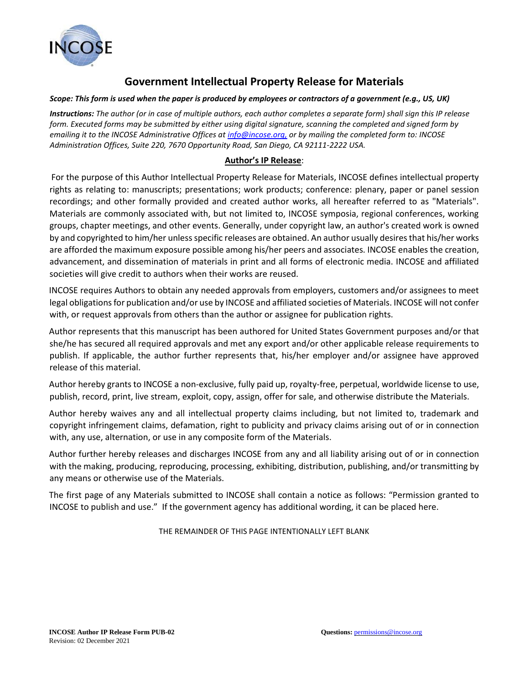

## **Government Intellectual Property Release for Materials**

## *Scope: This form is used when the paper is produced by employees or contractors of a government (e.g., US, UK)*

*Instructions: The author (or in case of multiple authors, each author completes a separate form) shall sign this IP release form. Executed forms may be submitted by either using digital signature, scanning the completed and signed form by emailing it to the INCOSE Administrative Offices at info@incose.org, or by mailing the completed form to: INCOSE Administration Offices, Suite 220, 7670 Opportunity Road, San Diego, CA 92111-2222 USA.* 

## **Author's IP Release**:

For the purpose of this Author Intellectual Property Release for Materials, INCOSE defines intellectual property rights as relating to: manuscripts; presentations; work products; conference: plenary, paper or panel session recordings; and other formally provided and created author works, all hereafter referred to as "Materials". Materials are commonly associated with, but not limited to, INCOSE symposia, regional conferences, working groups, chapter meetings, and other events. Generally, under copyright law, an author's created work is owned by and copyrighted to him/her unless specific releases are obtained. An author usually desires that his/her works are afforded the maximum exposure possible among his/her peers and associates. INCOSE enables the creation, advancement, and dissemination of materials in print and all forms of electronic media. INCOSE and affiliated societies will give credit to authors when their works are reused.

INCOSE requires Authors to obtain any needed approvals from employers, customers and/or assignees to meet legal obligations for publication and/or use by INCOSE and affiliated societies of Materials. INCOSE will not confer with, or request approvals from others than the author or assignee for publication rights.

Author represents that this manuscript has been authored for United States Government purposes and/or that she/he has secured all required approvals and met any export and/or other applicable release requirements to publish. If applicable, the author further represents that, his/her employer and/or assignee have approved release of this material.

Author hereby grants to INCOSE a non-exclusive, fully paid up, royalty-free, perpetual, worldwide license to use, publish, record, print, live stream, exploit, copy, assign, offer for sale, and otherwise distribute the Materials.

Author hereby waives any and all intellectual property claims including, but not limited to, trademark and copyright infringement claims, defamation, right to publicity and privacy claims arising out of or in connection with, any use, alternation, or use in any composite form of the Materials.

Author further hereby releases and discharges INCOSE from any and all liability arising out of or in connection with the making, producing, reproducing, processing, exhibiting, distribution, publishing, and/or transmitting by any means or otherwise use of the Materials.

The first page of any Materials submitted to INCOSE shall contain a notice as follows: "Permission granted to INCOSE to publish and use." If the government agency has additional wording, it can be placed here.

THE REMAINDER OF THIS PAGE INTENTIONALLY LEFT BLANK